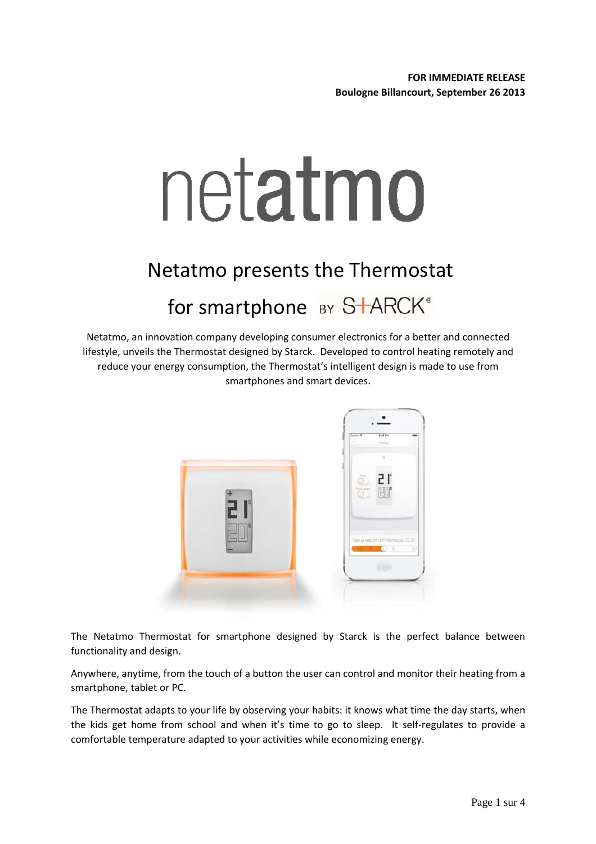# netatmo

# Netatmo presents the Thermostat for smartphone BY S<sup>+</sup>ARCK®

Netatmo, an innovation company developing consumer electronics for a better and connected lifestyle, unveils the Thermostat designed by Starck. Developed to control heating remotely and reduce your energy consumption, the Thermostat's intelligent design is made to use from smartphones and smart devices.



The Netatmo Thermostat for smartphone designed by Starck is the perfect balance between functionality and design.

Anywhere, anytime, from the touch of a button the user can control and monitor their heating from a smartphone, tablet or PC.

The Thermostat adapts to your life by observing your habits: it knows what time the day starts, when the kids get home from school and when it's time to go to sleep. It self‐regulates to provide a comfortable temperature adapted to your activities while economizing energy.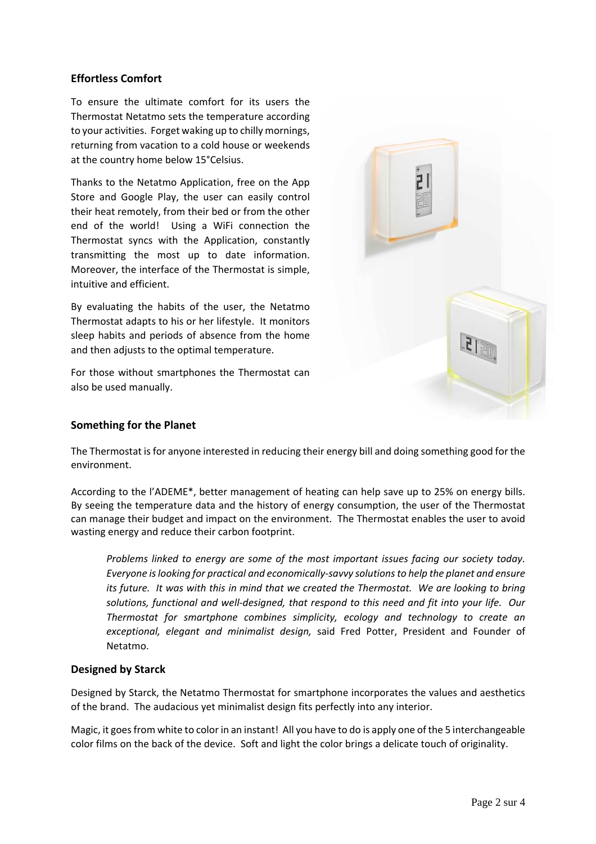# **Effortless Comfort**

To ensure the ultimate comfort for its users the Thermostat Netatmo sets the temperature according to your activities. Forget waking up to chilly mornings, returning from vacation to a cold house or weekends at the country home below 15°Celsius.

Thanks to the Netatmo Application, free on the App Store and Google Play, the user can easily control their heat remotely, from their bed or from the other end of the world! Using a WiFi connection the Thermostat syncs with the Application, constantly transmitting the most up to date information. Moreover, the interface of the Thermostat is simple, intuitive and efficient.

By evaluating the habits of the user, the Netatmo Thermostat adapts to his or her lifestyle. It monitors sleep habits and periods of absence from the home and then adjusts to the optimal temperature.

For those without smartphones the Thermostat can also be used manually.

# **Something for the Planet**

The Thermostat isfor anyone interested in reducing their energy bill and doing something good for the environment.

According to the l'ADEME\*, better management of heating can help save up to 25% on energy bills. By seeing the temperature data and the history of energy consumption, the user of the Thermostat can manage their budget and impact on the environment. The Thermostat enables the user to avoid wasting energy and reduce their carbon footprint.

*Problems linked to energy are some of the most important issues facing our society today. Everyone islooking for practical and economically‐savvy solutionsto help the planet and ensure* its future. It was with this in mind that we created the Thermostat. We are looking to bring *solutions, functional and well‐designed, that respond to this need and fit into your life. Our Thermostat for smartphone combines simplicity, ecology and technology to create an exceptional, elegant and minimalist design,* said Fred Potter, President and Founder of Netatmo.

#### **Designed by Starck**

Designed by Starck, the Netatmo Thermostat for smartphone incorporates the values and aesthetics of the brand. The audacious yet minimalist design fits perfectly into any interior.

Magic, it goesfrom white to color in an instant! All you have to do is apply one of the 5 interchangeable color films on the back of the device. Soft and light the color brings a delicate touch of originality.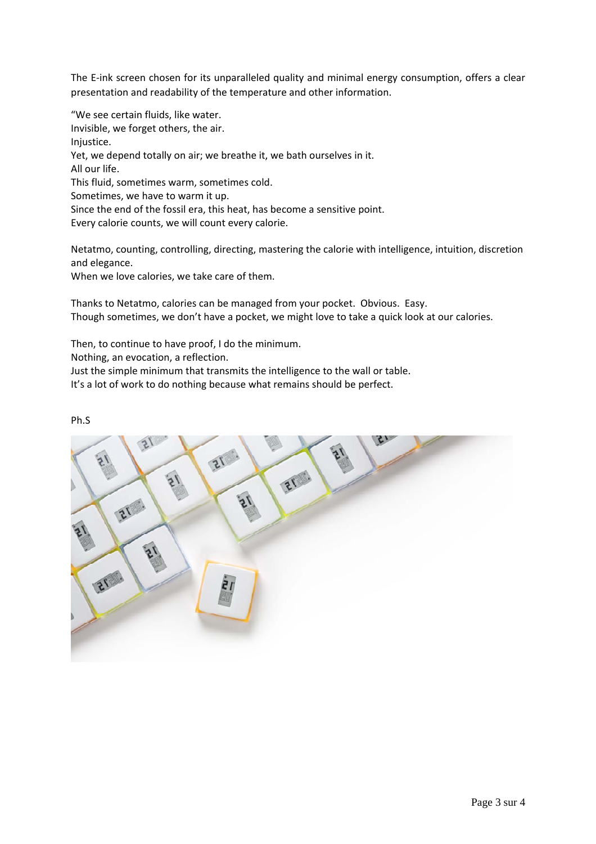The E-ink screen chosen for its unparalleled quality and minimal energy consumption, offers a clear presentation and readability of the temperature and other information.

"We see certain fluids, like water. Invisible, we forget others, the air. Injustice. Yet, we depend totally on air; we breathe it, we bath ourselves in it. All our life. This fluid, sometimes warm, sometimes cold. Sometimes, we have to warm it up. Since the end of the fossil era, this heat, has become a sensitive point. Every calorie counts, we will count every calorie.

Netatmo, counting, controlling, directing, mastering the calorie with intelligence, intuition, discretion and elegance.

When we love calories, we take care of them.

Thanks to Netatmo, calories can be managed from your pocket. Obvious. Easy. Though sometimes, we don't have a pocket, we might love to take a quick look at our calories.

Then, to continue to have proof, I do the minimum.

Nothing, an evocation, a reflection.

Just the simple minimum that transmits the intelligence to the wall or table.

It's a lot of work to do nothing because what remains should be perfect.